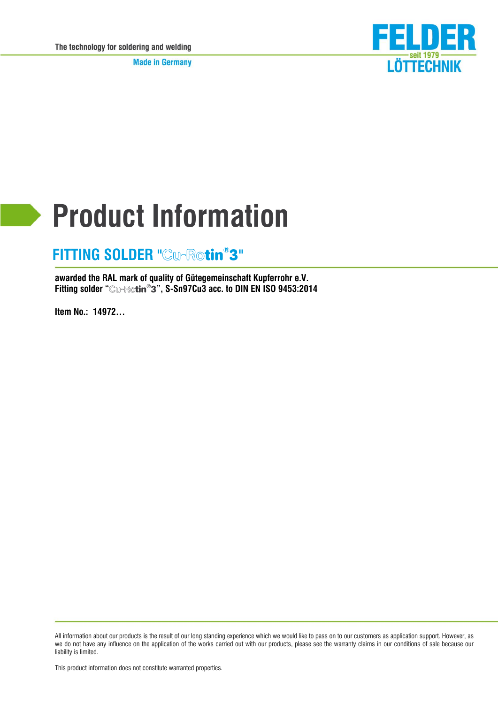**Made in Germany** 



# **Product Information**

#### **FITTING SOLDER "Cu-Rotin<sup>®</sup>3"**

**awarded the RAL mark of quality of Gütegemeinschaft Kupferrohr e.V. Fitting solder " ® ", S-Sn97Cu3 acc. to DIN EN ISO 9453:2014**

**Item No.: 14972…**

This product information does not constitute warranted properties.

All information about our products is the result of our long standing experience which we would like to pass on to our customers as application support. However, as we do not have any influence on the application of the works carried out with our products, please see the warranty claims in our conditions of sale because our liability is limited.